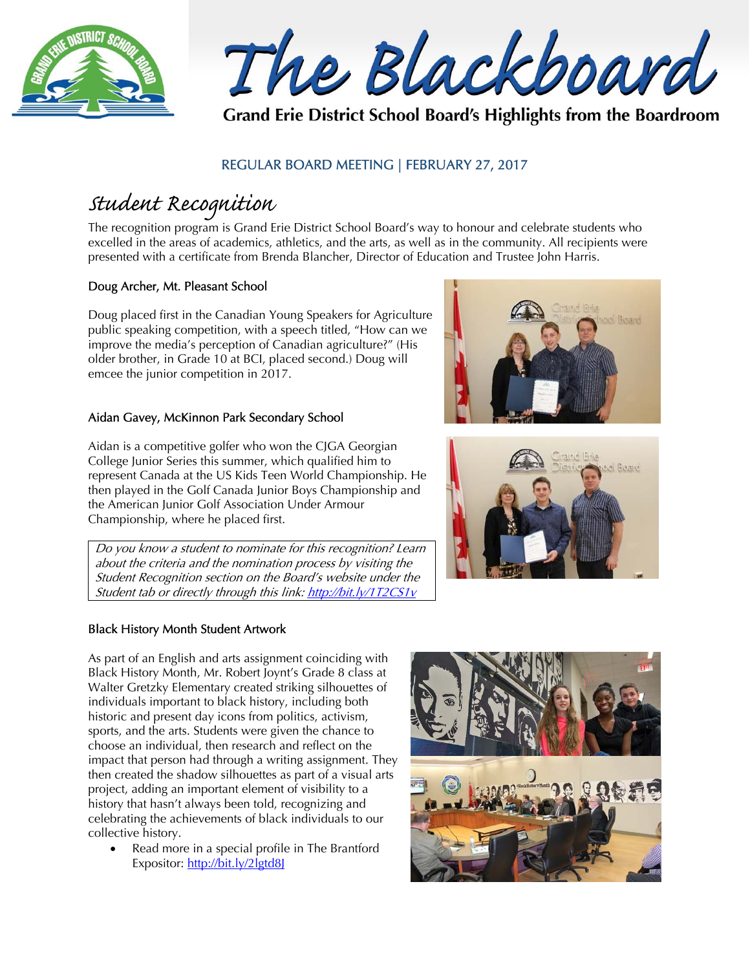



Grand Erie District School Board's Highlights from the Boardroom

### REGULAR BOARD MEETING | FEBRUARY 27, 2017

# Student Recognition

The recognition program is Grand Erie District School Board's way to honour and celebrate students who excelled in the areas of academics, athletics, and the arts, as well as in the community. All recipients were presented with a certificate from Brenda Blancher, Director of Education and Trustee John Harris.

#### Doug Archer, Mt. Pleasant School

Doug placed first in the Canadian Young Speakers for Agriculture public speaking competition, with a speech titled, "How can we improve the media's perception of Canadian agriculture?" (His older brother, in Grade 10 at BCI, placed second.) Doug will emcee the junior competition in 2017.

#### Aidan Gavey, McKinnon Park Secondary School

Aidan is a competitive golfer who won the CJGA Georgian College Junior Series this summer, which qualified him to represent Canada at the US Kids Teen World Championship. He then played in the Golf Canada Junior Boys Championship and the American Junior Golf Association Under Armour Championship, where he placed first.

Do you know a student to nominate for this recognition? Learn about the criteria and the nomination process by visiting the Student Recognition section on the Board's website under the Student tab or directly through this link: http://bit.ly/1T2CS1y

#### Black History Month Student Artwork

As part of an English and arts assignment coinciding with Black History Month, Mr. Robert Joynt's Grade 8 class at Walter Gretzky Elementary created striking silhouettes of individuals important to black history, including both historic and present day icons from politics, activism, sports, and the arts. Students were given the chance to choose an individual, then research and reflect on the impact that person had through a writing assignment. They then created the shadow silhouettes as part of a visual arts project, adding an important element of visibility to a history that hasn't always been told, recognizing and celebrating the achievements of black individuals to our collective history.

 Read more in a special profile in The Brantford Expositor: http://bit.ly/2lgtd8J





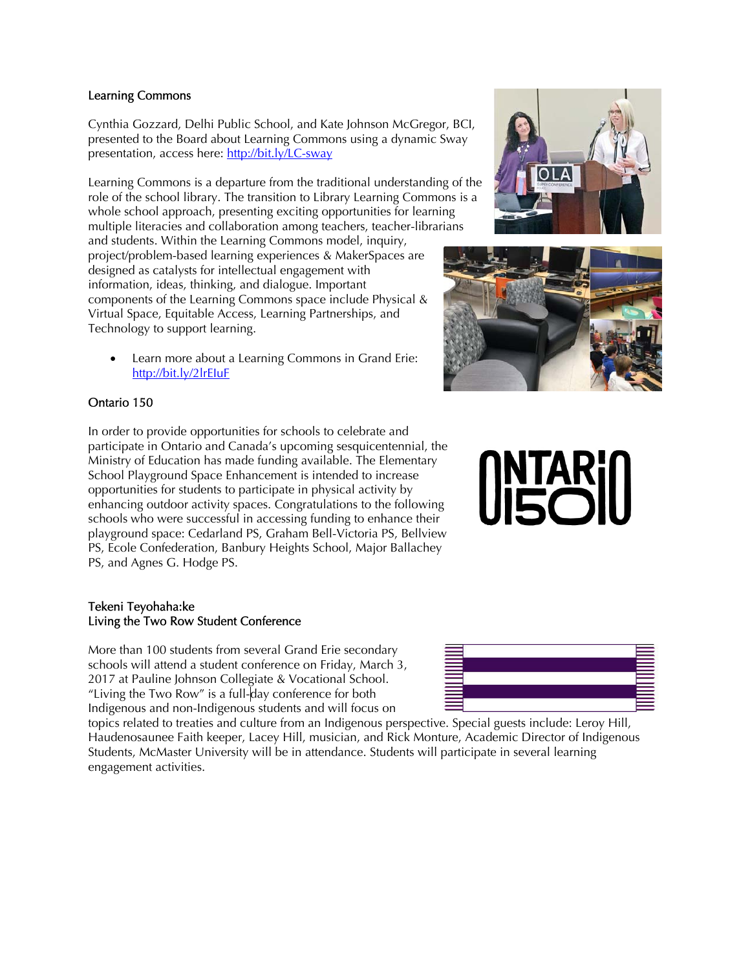#### Learning Commons

Cynthia Gozzard, Delhi Public School, and Kate Johnson McGregor, BCI, presented to the Board about Learning Commons using a dynamic Sway presentation, access here: http://bit.ly/LC-sway

Learning Commons is a departure from the traditional understanding of the role of the school library. The transition to Library Learning Commons is a whole school approach, presenting exciting opportunities for learning multiple literacies and collaboration among teachers, teacher-librarians and students. Within the Learning Commons model, inquiry, project/problem-based learning experiences & MakerSpaces are designed as catalysts for intellectual engagement with information, ideas, thinking, and dialogue. Important components of the Learning Commons space include Physical & Virtual Space, Equitable Access, Learning Partnerships, and Technology to support learning.

 Learn more about a Learning Commons in Grand Erie: http://bit.ly/2lrEIuF

#### Ontario 150

In order to provide opportunities for schools to celebrate and participate in Ontario and Canada's upcoming sesquicentennial, the Ministry of Education has made funding available. The Elementary School Playground Space Enhancement is intended to increase opportunities for students to participate in physical activity by enhancing outdoor activity spaces. Congratulations to the following schools who were successful in accessing funding to enhance their playground space: Cedarland PS, Graham Bell-Victoria PS, Bellview PS, Ecole Confederation, Banbury Heights School, Major Ballachey PS, and Agnes G. Hodge PS.

#### Tekeni Teyohaha:ke Living the Two Row Student Conference

More than 100 students from several Grand Erie secondary schools will attend a student conference on Friday, March 3, 2017 at Pauline Johnson Collegiate & Vocational School. "Living the Two Row" is a full-day conference for both Indigenous and non-Indigenous students and will focus on

topics related to treaties and culture from an Indigenous perspective. Special guests include: Leroy Hill, Haudenosaunee Faith keeper, Lacey Hill, musician, and Rick Monture, Academic Director of Indigenous Students, McMaster University will be in attendance. Students will participate in several learning engagement activities.